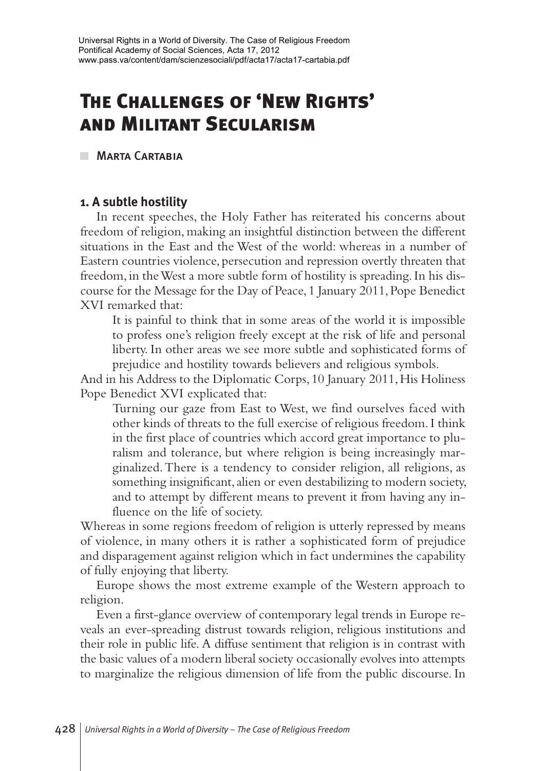# **The Challenges of 'New Rights' and Militant Secularism**

**MARTA CARTABIA** 

# **1. A subtle hostility**

In recent speeches, the Holy Father has reiterated his concerns about freedom of religion, making an insightful distinction between the different situations in the East and the West of the world: whereas in a number of Eastern countries violence, persecution and repression overtly threaten that freedom, in the West a more subtle form of hostility is spreading. In his discourse for the Message for the Day of Peace, 1 January 2011, Pope Benedict XVI remarked that:

It is painful to think that in some areas of the world it is impossible to profess one's religion freely except at the risk of life and personal liberty. In other areas we see more subtle and sophisticated forms of prejudice and hostility towards believers and religious symbols.

And in his Address to the Diplomatic Corps, 10 January 2011, His Holiness Pope Benedict XVI explicated that:

Turning our gaze from East to West, we find ourselves faced with other kinds of threats to the full exercise of religious freedom. I think in the first place of countries which accord great importance to pluralism and tolerance, but where religion is being increasingly marginalized. There is a tendency to consider religion, all religions, as something insignificant, alien or even destabilizing to modern society, and to attempt by different means to prevent it from having any influence on the life of society.

Whereas in some regions freedom of religion is utterly repressed by means of violence, in many others it is rather a sophisticated form of prejudice and disparagement against religion which in fact undermines the capability of fully enjoying that liberty.

Europe shows the most extreme example of the Western approach to religion.

Even a first-glance overview of contemporary legal trends in Europe reveals an ever-spreading distrust towards religion, religious institutions and their role in public life. A diffuse sentiment that religion is in contrast with the basic values of a modern liberal society occasionally evolves into attempts to marginalize the religious dimension of life from the public discourse. In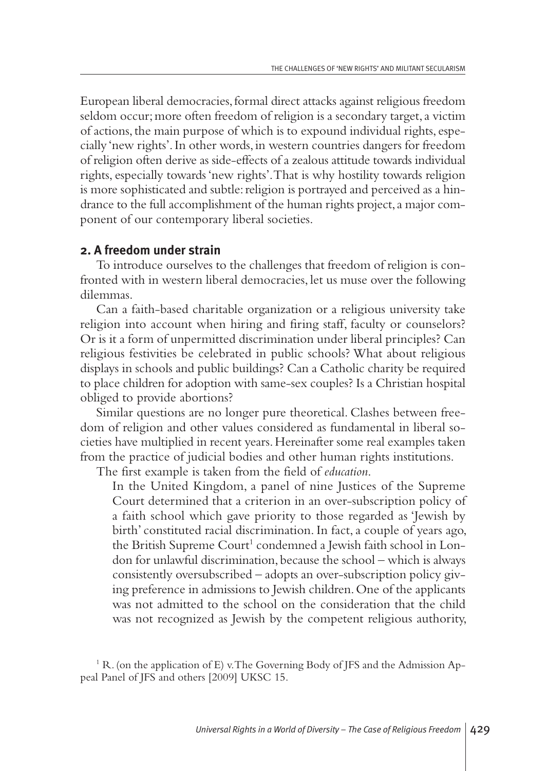European liberal democracies,formal direct attacks against religious freedom seldom occur; more often freedom of religion is a secondary target, a victim of actions,the main purpose of which is to expound individual rights, especially 'new rights'.In other words,in western countries dangers for freedom of religion often derive as side-effects of a zealous attitude towards individual rights, especially towards 'new rights'.That is why hostility towards religion is more sophisticated and subtle:religion is portrayed and perceived as a hindrance to the full accomplishment of the human rights project,a major component of our contemporary liberal societies.

#### **2. A freedom under strain**

To introduce ourselves to the challenges that freedom of religion is confronted with in western liberal democracies, let us muse over the following dilemmas.

Can a faith-based charitable organization or a religious university take religion into account when hiring and firing staff, faculty or counselors? Or is it a form of unpermitted discrimination under liberal principles? Can religious festivities be celebrated in public schools? What about religious displays in schools and public buildings? Can a Catholic charity be required to place children for adoption with same-sex couples? Is a Christian hospital obliged to provide abortions?

Similar questions are no longer pure theoretical. Clashes between freedom of religion and other values considered as fundamental in liberal societies have multiplied in recent years.Hereinafter some real examples taken from the practice of judicial bodies and other human rights institutions.

The first example is taken from the field of *education*.

In the United Kingdom, a panel of nine Justices of the Supreme Court determined that a criterion in an over-subscription policy of a faith school which gave priority to those regarded as 'Jewish by birth' constituted racial discrimination. In fact, a couple of years ago, the British Supreme Court <sup>1</sup> condemned a Jewish faith school in London for unlawful discrimination, because the school – which is always consistently oversubscribed – adopts an over-subscription policy giving preference in admissions to Jewish children.One of the applicants was not admitted to the school on the consideration that the child was not recognized as Jewish by the competent religious authority,

 $1 R.$  (on the application of E) v. The Governing Body of JFS and the Admission Appeal Panel of JFS and others [2009] UKSC 15.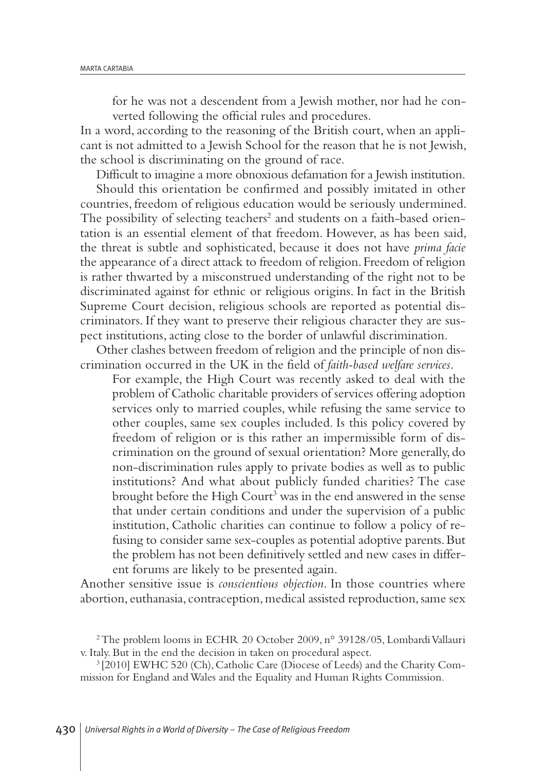for he was not a descendent from a Jewish mother, nor had he converted following the official rules and procedures.

In a word, according to the reasoning of the British court, when an applicant is not admitted to a Jewish School for the reason that he is not Jewish, the school is discriminating on the ground of race.

Difficult to imagine a more obnoxious defamation for a Jewish institution. Should this orientation be confirmed and possibly imitated in other countries, freedom of religious education would be seriously undermined. The possibility of selecting teachers <sup>2</sup> and students on a faith-based orientation is an essential element of that freedom. However, as has been said, the threat is subtle and sophisticated, because it does not have *prima facie* the appearance of a direct attack to freedom of religion. Freedom of religion is rather thwarted by a misconstrued understanding of the right not to be discriminated against for ethnic or religious origins. In fact in the British Supreme Court decision, religious schools are reported as potential discriminators. If they want to preserve their religious character they are suspect institutions, acting close to the border of unlawful discrimination.

Other clashes between freedom of religion and the principle of non discrimination occurred in the UK in the field of *faith-based welfare services*.

For example, the High Court was recently asked to deal with the problem of Catholic charitable providers of services offering adoption services only to married couples, while refusing the same service to other couples, same sex couples included. Is this policy covered by freedom of religion or is this rather an impermissible form of discrimination on the ground of sexual orientation? More generally, do non-discrimination rules apply to private bodies as well as to public institutions? And what about publicly funded charities? The case brought before the High Court <sup>3</sup> was in the end answered in the sense that under certain conditions and under the supervision of a public institution, Catholic charities can continue to follow a policy of refusing to consider same sex-couples as potential adoptive parents.But the problem has not been definitively settled and new cases in different forums are likely to be presented again.

Another sensitive issue is *conscientious objection*. In those countries where abortion, euthanasia, contraception, medical assisted reproduction, same sex

<sup>3</sup> [2010] EWHC 520 (Ch), Catholic Care (Diocese of Leeds) and the Charity Commission for England andWales and the Equality and Human Rights Commission.

<sup>&</sup>lt;sup>2</sup> The problem looms in ECHR 20 October 2009, n° 39128/05, Lombardi Vallauri v. Italy. But in the end the decision in taken on procedural aspect.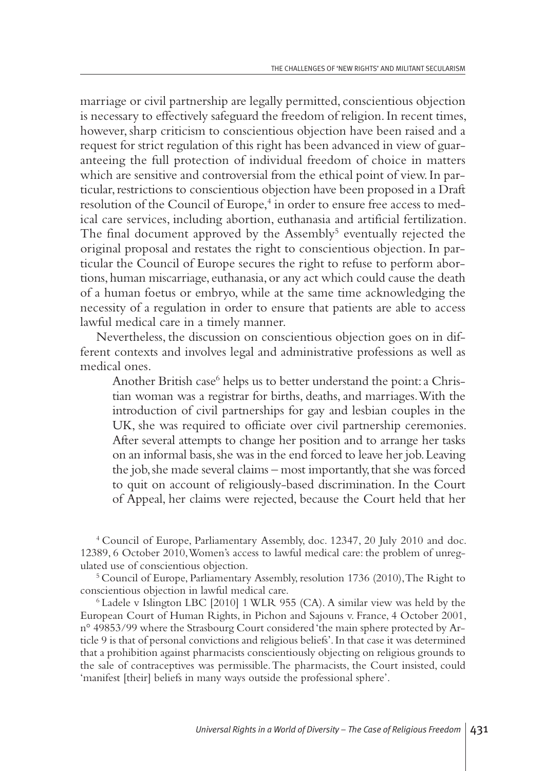marriage or civil partnership are legally permitted, conscientious objection is necessary to effectively safeguard the freedom of religion.In recent times, however, sharp criticism to conscientious objection have been raised and a request for strict regulation of this right has been advanced in view of guaranteeing the full protection of individual freedom of choice in matters which are sensitive and controversial from the ethical point of view. In particular, restrictions to conscientious objection have been proposed in a Draft resolution of the Council of Europe, <sup>4</sup> in order to ensure free access to medical care services, including abortion, euthanasia and artificial fertilization. The final document approved by the Assembly<sup>5</sup> eventually rejected the original proposal and restates the right to conscientious objection. In particular the Council of Europe secures the right to refuse to perform abortions,human miscarriage, euthanasia,or any act which could cause the death of a human foetus or embryo, while at the same time acknowledging the necessity of a regulation in order to ensure that patients are able to access lawful medical care in a timely manner.

Nevertheless, the discussion on conscientious objection goes on in different contexts and involves legal and administrative professions as well as medical ones.

Another British case<sup>6</sup> helps us to better understand the point: a Christian woman was a registrar for births, deaths, and marriages. With the introduction of civil partnerships for gay and lesbian couples in the UK, she was required to officiate over civil partnership ceremonies. After several attempts to change her position and to arrange her tasks on an informal basis, she was in the end forced to leave her job. Leaving the job, she made several claims – most importantly, that she was forced to quit on account of religiously-based discrimination. In the Court of Appeal, her claims were rejected, because the Court held that her

<sup>4</sup> Council of Europe, Parliamentary Assembly, doc. 12347, 20 July 2010 and doc. 12389, 6 October 2010,Women's access to lawful medical care: the problem of unregulated use of conscientious objection.

<sup>5</sup> Council of Europe, Parliamentary Assembly, resolution 1736 (2010), The Right to conscientious objection in lawful medical care.

<sup>6</sup> Ladele v Islington LBC [2010] 1WLR 955 (CA). A similar view was held by the European Court of Human Rights, in Pichon and Sajouns v. France, 4 October 2001, n° 49853/99 where the Strasbourg Court considered 'the main sphere protected by Article 9 is that of personal convictions and religious beliefs'.In that case it was determined that a prohibition against pharmacists conscientiously objecting on religious grounds to the sale of contraceptives was permissible.The pharmacists, the Court insisted, could 'manifest [their] beliefs in many ways outside the professional sphere'.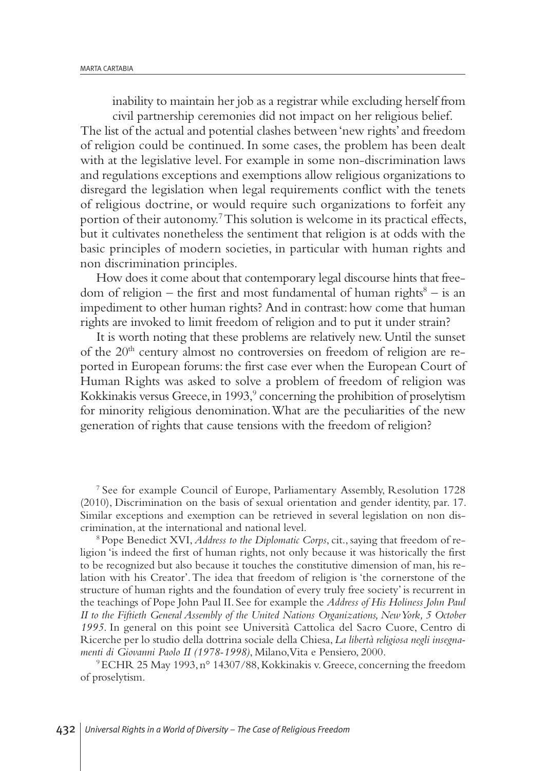inability to maintain her job as a registrar while excluding herself from civil partnership ceremonies did not impact on her religious belief.

The list of the actual and potential clashes between'new rights'and freedom of religion could be continued. In some cases, the problem has been dealt with at the legislative level. For example in some non-discrimination laws and regulations exceptions and exemptions allow religious organizations to disregard the legislation when legal requirements conflict with the tenets of religious doctrine, or would require such organizations to forfeit any portion of their autonomy. 7This solution is welcome in its practical effects, but it cultivates nonetheless the sentiment that religion is at odds with the basic principles of modern societies, in particular with human rights and non discrimination principles.

How does it come about that contemporary legal discourse hints that freedom of religion – the first and most fundamental of human rights <sup>8</sup> – is an impediment to other human rights? And in contrast: how come that human rights are invoked to limit freedom of religion and to put it under strain?

It is worth noting that these problems are relatively new.Until the sunset of the 20<sup>th</sup> century almost no controversies on freedom of religion are reported in European forums: the first case ever when the European Court of Human Rights was asked to solve a problem of freedom of religion was Kokkinakis versus Greece,in 1993, <sup>9</sup> concerning the prohibition of proselytism for minority religious denomination.What are the peculiarities of the new generation of rights that cause tensions with the freedom of religion?

<sup>7</sup> See for example Council of Europe, Parliamentary Assembly, Resolution 1728 (2010), Discrimination on the basis of sexual orientation and gender identity, par. 17. Similar exceptions and exemption can be retrieved in several legislation on non discrimination,at the international and national level.

<sup>8</sup> Pope Benedict XVI,*Address to the Diplomatic Corps*, cit., saying that freedom of religion 'is indeed the first of human rights, not only because it was historically the first to be recognized but also because it touches the constitutive dimension of man, his relation with his Creator'.The idea that freedom of religion is 'the cornerstone of the structure of human rights and the foundation of every truly free society' is recurrent in the teachings of Pope John Paul II. See for example the *Address of His Holiness John Paul II to the Fiftieth General Assembly of the United Nations Organizations, NewYork, 5 October 1995*. In general on this point see Università Cattolica del Sacro Cuore, Centro di Ricerche per lo studio della dottrina sociale della Chiesa, *La libertà religiosa negli insegnamenti di Giovanni Paolo II (1978-1998)*, Milano,Vita e Pensiero, 2000.

9ECHR 25 May 1993, n° 14307/88,Kokkinakis v.Greece, concerning the freedom of proselytism.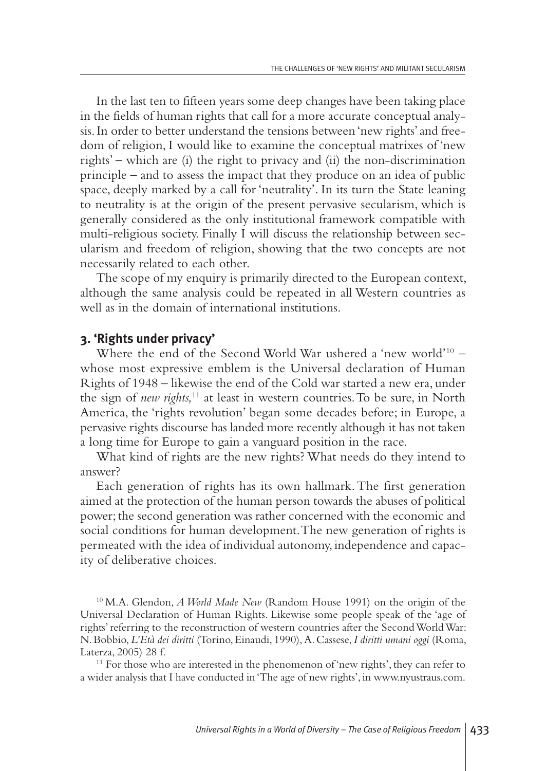In the last ten to fifteen years some deep changes have been taking place in the fields of human rights that call for a more accurate conceptual analysis.In order to better understand the tensions between'new rights'and freedom of religion, I would like to examine the conceptual matrixes of 'new rights' – which are (i) the right to privacy and (ii) the non-discrimination principle – and to assess the impact that they produce on an idea of public space, deeply marked by a call for 'neutrality'. In its turn the State leaning to neutrality is at the origin of the present pervasive secularism, which is generally considered as the only institutional framework compatible with multi-religious society. Finally I will discuss the relationship between secularism and freedom of religion, showing that the two concepts are not necessarily related to each other.

The scope of my enquiry is primarily directed to the European context, although the same analysis could be repeated in all Western countries as well as in the domain of international institutions.

#### **3. 'Rights under privacy'**

Where the end of the Second World War ushered a 'new world' <sup>10</sup> – whose most expressive emblem is the Universal declaration of Human Rights of 1948 – likewise the end of the Cold war started a new era, under the sign of *new rights,* <sup>11</sup> at least in western countries.To be sure, in North America, the 'rights revolution' began some decades before; in Europe, a pervasive rights discourse has landed more recently although it has not taken a long time for Europe to gain a vanguard position in the race.

What kind of rights are the new rights? What needs do they intend to answer?

Each generation of rights has its own hallmark.The first generation aimed at the protection of the human person towards the abuses of political power; the second generation was rather concerned with the economic and social conditions for human development.The new generation of rights is permeated with the idea of individual autonomy, independence and capacity of deliberative choices.

<sup>10</sup> M.A. Glendon, *A World Made New* (Random House 1991) on the origin of the Universal Declaration of Human Rights. Likewise some people speak of the 'age of rights'referring to the reconstruction of western countries after the SecondWorldWar: N.Bobbio,*L'Età dei diritti* (Torino,Einaudi, 1990),A.Cassese,*I diritti umani oggi* (Roma, Laterza, 2005) 28 f.

<sup>11</sup> For those who are interested in the phenomenon of 'new rights', they can refer to a wider analysis that I have conducted in'The age of new rights',in www.nyustraus.com.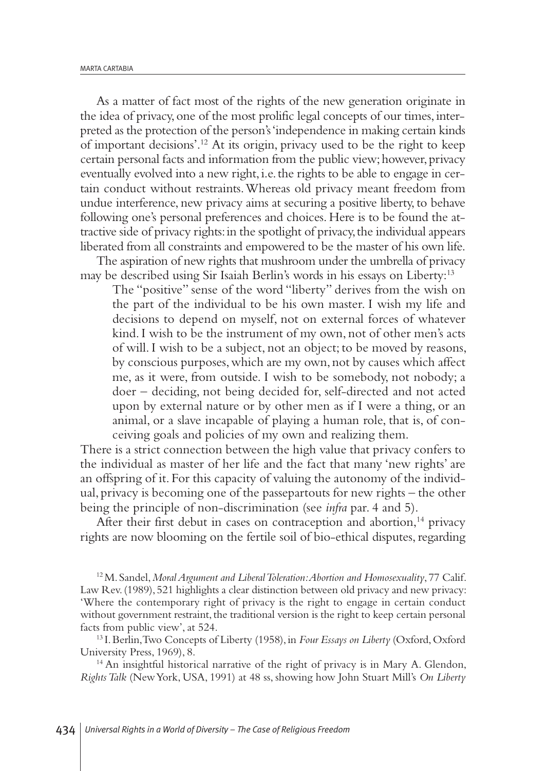As a matter of fact most of the rights of the new generation originate in the idea of privacy, one of the most prolific legal concepts of our times, interpreted as the protection of the person's'independence in making certain kinds of important decisions'. <sup>12</sup> At its origin, privacy used to be the right to keep certain personal facts and information from the public view; however, privacy eventually evolved into a new right, i.e. the rights to be able to engage in certain conduct without restraints.Whereas old privacy meant freedom from undue interference, new privacy aims at securing a positive liberty, to behave following one's personal preferences and choices.Here is to be found the attractive side of privacy rights:in the spotlight of privacy,the individual appears liberated from all constraints and empowered to be the master of his own life.

The aspiration of new rights that mushroom under the umbrella of privacy may be described using Sir Isaiah Berlin's words in his essays on Liberty: 13

The "positive" sense of the word "liberty" derives from the wish on the part of the individual to be his own master. I wish my life and decisions to depend on myself, not on external forces of whatever kind.I wish to be the instrument of my own, not of other men's acts of will.I wish to be a subject, not an object; to be moved by reasons, by conscious purposes,which are my own,not by causes which affect me, as it were, from outside. I wish to be somebody, not nobody; a doer – deciding, not being decided for, self-directed and not acted upon by external nature or by other men as if I were a thing, or an animal, or a slave incapable of playing a human role, that is, of conceiving goals and policies of my own and realizing them.

There is a strict connection between the high value that privacy confers to the individual as master of her life and the fact that many 'new rights' are an offspring of it. For this capacity of valuing the autonomy of the individual, privacy is becoming one of the passepartouts for new rights – the other being the principle of non-discrimination (see *infra* par. 4 and 5).

After their first debut in cases on contraception and abortion,<sup>14</sup> privacy rights are now blooming on the fertile soil of bio-ethical disputes, regarding

12M. Sandel,*MoralArgument and LiberalToleration:Abortion and Homosexuality*, 77 Calif. Law Rev.(1989), 521 highlights a clear distinction between old privacy and new privacy: 'Where the contemporary right of privacy is the right to engage in certain conduct without government restraint, the traditional version is the right to keep certain personal facts from public view', at 524.

<sup>13</sup> I. Berlin, Two Concepts of Liberty (1958), in *Four Essays on Liberty* (Oxford, Oxford University Press, 1969), 8.

<sup>14</sup> An insightful historical narrative of the right of privacy is in Mary A. Glendon, *RightsTalk* (NewYork, USA, 1991) at 48 ss, showing how John Stuart Mill's *On Liberty*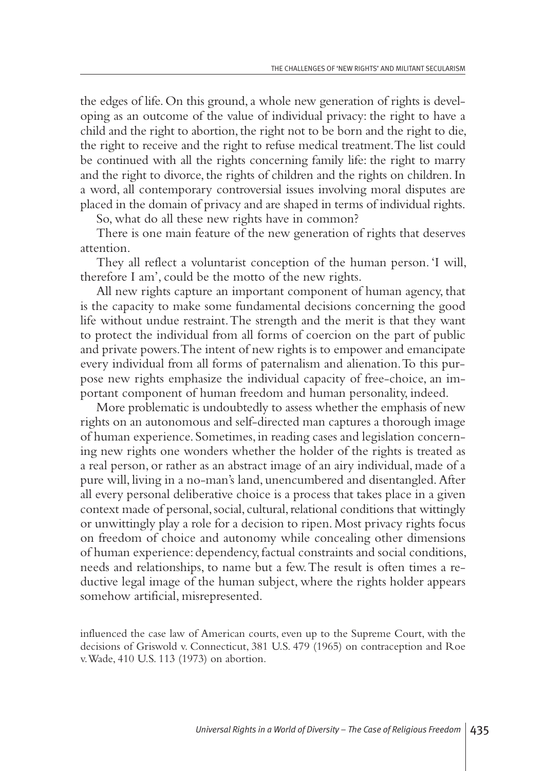the edges of life. On this ground, a whole new generation of rights is developing as an outcome of the value of individual privacy: the right to have a child and the right to abortion, the right not to be born and the right to die, the right to receive and the right to refuse medical treatment.The list could be continued with all the rights concerning family life: the right to marry and the right to divorce, the rights of children and the rights on children.In a word, all contemporary controversial issues involving moral disputes are placed in the domain of privacy and are shaped in terms of individual rights.

So, what do all these new rights have in common?

There is one main feature of the new generation of rights that deserves attention.

They all reflect a voluntarist conception of the human person. 'I will, therefore I am', could be the motto of the new rights.

All new rights capture an important component of human agency, that is the capacity to make some fundamental decisions concerning the good life without undue restraint.The strength and the merit is that they want to protect the individual from all forms of coercion on the part of public and private powers.The intent of new rights is to empower and emancipate every individual from all forms of paternalism and alienation.To this purpose new rights emphasize the individual capacity of free-choice, an important component of human freedom and human personality, indeed.

More problematic is undoubtedly to assess whether the emphasis of new rights on an autonomous and self-directed man captures a thorough image of human experience. Sometimes, in reading cases and legislation concerning new rights one wonders whether the holder of the rights is treated as a real person, or rather as an abstract image of an airy individual,made of a pure will, living in a no-man's land, unencumbered and disentangled.After all every personal deliberative choice is a process that takes place in a given context made of personal, social, cultural, relational conditions that wittingly or unwittingly play a role for a decision to ripen.Most privacy rights focus on freedom of choice and autonomy while concealing other dimensions of human experience: dependency,factual constraints and social conditions, needs and relationships, to name but a few.The result is often times a reductive legal image of the human subject, where the rights holder appears somehow artificial, misrepresented.

influenced the case law of American courts, even up to the Supreme Court, with the decisions of Griswold v. Connecticut, 381 U.S. 479 (1965) on contraception and Roe v.Wade, 410 U.S. 113 (1973) on abortion.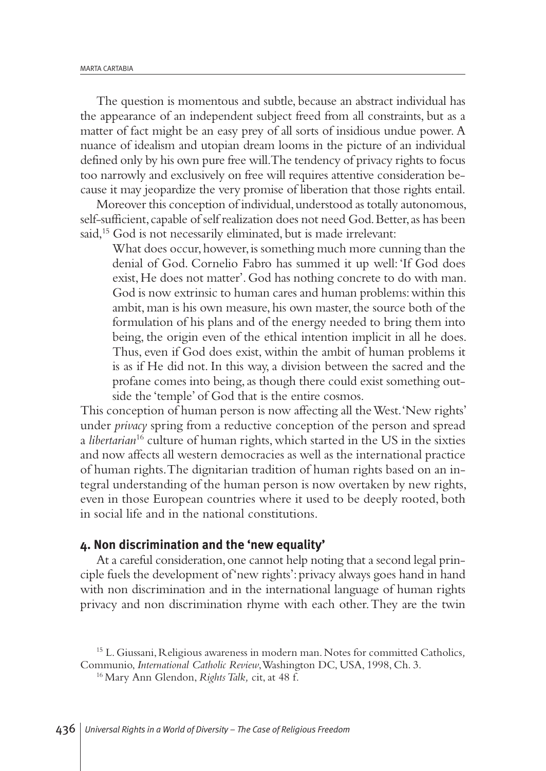The question is momentous and subtle, because an abstract individual has the appearance of an independent subject freed from all constraints, but as a matter of fact might be an easy prey of all sorts of insidious undue power. A nuance of idealism and utopian dream looms in the picture of an individual defined only by his own pure free will.The tendency of privacy rights to focus too narrowly and exclusively on free will requires attentive consideration because it may jeopardize the very promise of liberation that those rights entail.

Moreover this conception of individual, understood as totally autonomous, self-sufficient, capable of self realization does not need God. Better, as has been said, <sup>15</sup> God is not necessarily eliminated, but is made irrelevant:

What does occur, however, is something much more cunning than the denial of God. Cornelio Fabro has summed it up well:'If God does exist, He does not matter'. God has nothing concrete to do with man. God is now extrinsic to human cares and human problems: within this ambit, man is his own measure, his own master, the source both of the formulation of his plans and of the energy needed to bring them into being, the origin even of the ethical intention implicit in all he does. Thus, even if God does exist, within the ambit of human problems it is as if He did not. In this way, a division between the sacred and the profane comes into being,as though there could exist something outside the 'temple' of God that is the entire cosmos.

This conception of human person is now affecting all theWest.'New rights' under *privacy* spring from a reductive conception of the person and spread a *libertarian*<sup>16</sup> culture of human rights, which started in the US in the sixties and now affects all western democracies as well as the international practice of human rights.The dignitarian tradition of human rights based on an integral understanding of the human person is now overtaken by new rights, even in those European countries where it used to be deeply rooted, both in social life and in the national constitutions.

#### **4. Non discrimination and the 'new equality'**

At a careful consideration, one cannot help noting that a second legal principle fuels the development of'new rights':privacy always goes hand in hand with non discrimination and in the international language of human rights privacy and non discrimination rhyme with each other.They are the twin

<sup>15</sup> L.Giussani, Religious awareness in modern man. Notes for committed Catholics*,* Communio, *International Catholic Review*,Washington DC, USA, 1998, Ch. 3.

<sup>16</sup> Mary Ann Glendon, *RightsTalk,* cit,at 48 f.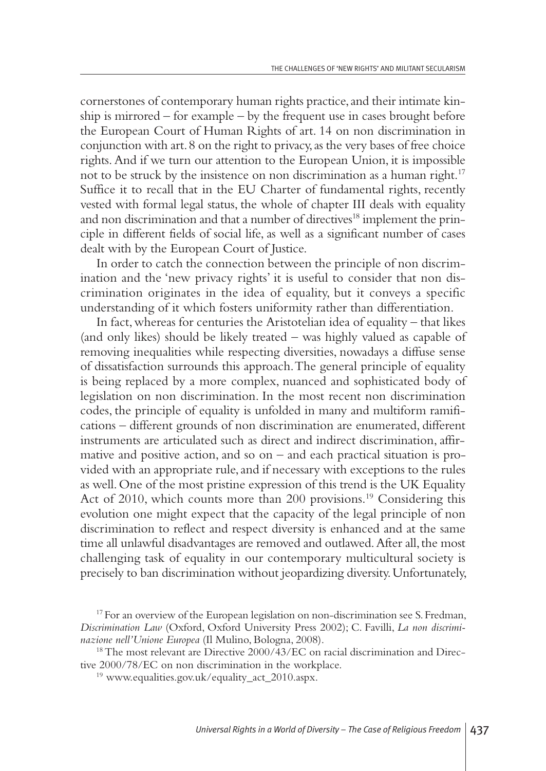cornerstones of contemporary human rights practice, and their intimate kinship is mirrored – for example – by the frequent use in cases brought before the European Court of Human Rights of art. 14 on non discrimination in conjunction with art.8 on the right to privacy,as the very bases of free choice rights.And if we turn our attention to the European Union, it is impossible not to be struck by the insistence on non discrimination as a human right. 17 Suffice it to recall that in the EU Charter of fundamental rights, recently vested with formal legal status, the whole of chapter III deals with equality and non discrimination and that a number of directives <sup>18</sup> implement the principle in different fields of social life, as well as a significant number of cases dealt with by the European Court of Justice.

In order to catch the connection between the principle of non discrimination and the 'new privacy rights' it is useful to consider that non discrimination originates in the idea of equality, but it conveys a specific understanding of it which fosters uniformity rather than differentiation.

In fact,whereas for centuries the Aristotelian idea of equality – that likes (and only likes) should be likely treated – was highly valued as capable of removing inequalities while respecting diversities, nowadays a diffuse sense of dissatisfaction surrounds this approach.The general principle of equality is being replaced by a more complex, nuanced and sophisticated body of legislation on non discrimination. In the most recent non discrimination codes, the principle of equality is unfolded in many and multiform ramifications – different grounds of non discrimination are enumerated, different instruments are articulated such as direct and indirect discrimination, affirmative and positive action, and so on – and each practical situation is provided with an appropriate rule, and if necessary with exceptions to the rules as well.One of the most pristine expression of this trend is the UK Equality Act of 2010, which counts more than 200 provisions. <sup>19</sup> Considering this evolution one might expect that the capacity of the legal principle of non discrimination to reflect and respect diversity is enhanced and at the same time all unlawful disadvantages are removed and outlawed. After all, the most challenging task of equality in our contemporary multicultural society is precisely to ban discrimination without jeopardizing diversity.Unfortunately,

<sup>&</sup>lt;sup>17</sup> For an overview of the European legislation on non-discrimination see S. Fredman, *Discrimination Law* (Oxford, Oxford University Press 2002); C. Favilli, *La non discriminazione nell'Unione Europea* (Il Mulino, Bologna, 2008).

 $18$  The most relevant are Directive 2000/43/EC on racial discrimination and Directive 2000/78/EC on non discrimination in the workplace.

<sup>19</sup> www.equalities.gov.uk/equality\_act\_2010.aspx.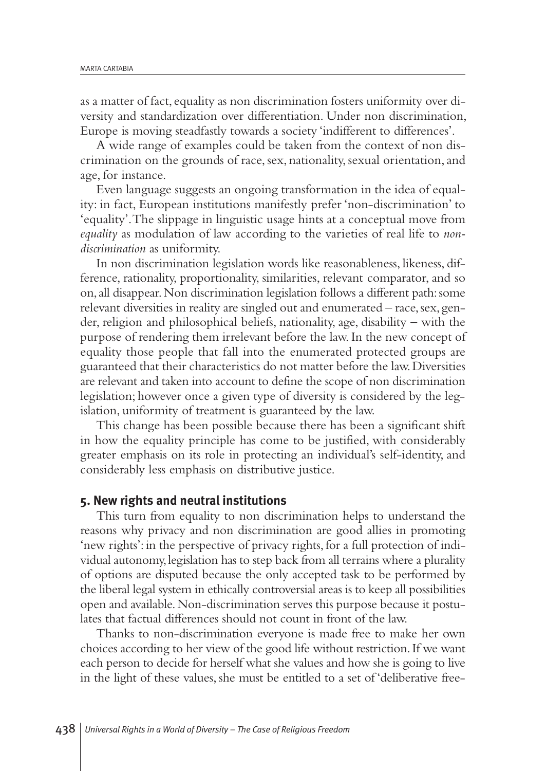as a matter of fact, equality as non discrimination fosters uniformity over diversity and standardization over differentiation. Under non discrimination, Europe is moving steadfastly towards a society 'indifferent to differences'.

A wide range of examples could be taken from the context of non discrimination on the grounds of race, sex, nationality, sexual orientation,and age, for instance.

Even language suggests an ongoing transformation in the idea of equality: in fact, European institutions manifestly prefer 'non-discrimination' to 'equality'.The slippage in linguistic usage hints at a conceptual move from *equality* as modulation of law according to the varieties of real life to *nondiscrimination* as uniformity.

In non discrimination legislation words like reasonableness, likeness, difference, rationality, proportionality, similarities, relevant comparator, and so on,all disappear.Non discrimination legislation follows a different path:some relevant diversities in reality are singled out and enumerated – race,sex, gender, religion and philosophical beliefs, nationality, age, disability – with the purpose of rendering them irrelevant before the law.In the new concept of equality those people that fall into the enumerated protected groups are guaranteed that their characteristics do not matter before the law.Diversities are relevant and taken into account to define the scope of non discrimination legislation; however once a given type of diversity is considered by the legislation, uniformity of treatment is guaranteed by the law.

This change has been possible because there has been a significant shift in how the equality principle has come to be justified, with considerably greater emphasis on its role in protecting an individual's self-identity, and considerably less emphasis on distributive justice.

#### **5. New rights and neutral institutions**

This turn from equality to non discrimination helps to understand the reasons why privacy and non discrimination are good allies in promoting 'new rights': in the perspective of privacy rights, for a full protection of individual autonomy,legislation has to step back from all terrains where a plurality of options are disputed because the only accepted task to be performed by the liberal legal system in ethically controversial areas is to keep all possibilities open and available.Non-discrimination serves this purpose because it postulates that factual differences should not count in front of the law.

Thanks to non-discrimination everyone is made free to make her own choices according to her view of the good life without restriction.If we want each person to decide for herself what she values and how she is going to live in the light of these values, she must be entitled to a set of 'deliberative free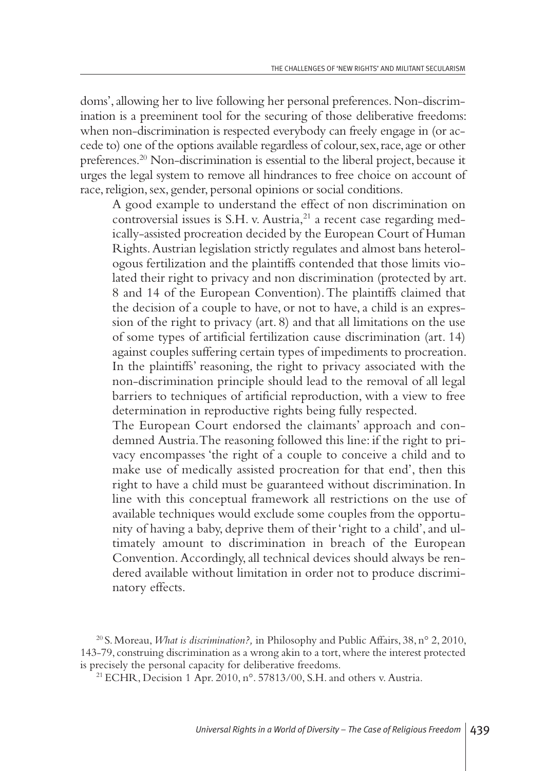doms', allowing her to live following her personal preferences. Non-discrimination is a preeminent tool for the securing of those deliberative freedoms: when non-discrimination is respected everybody can freely engage in (or accede to) one of the options available regardless of colour,sex,race,age or other preferences. <sup>20</sup> Non-discrimination is essential to the liberal project, because it urges the legal system to remove all hindrances to free choice on account of race, religion, sex, gender, personal opinions or social conditions.

A good example to understand the effect of non discrimination on controversial issues is S.H. v. Austria, <sup>21</sup> a recent case regarding medically-assisted procreation decided by the European Court of Human Rights.Austrian legislation strictly regulates and almost bans heterologous fertilization and the plaintiffs contended that those limits violated their right to privacy and non discrimination (protected by art. 8 and 14 of the European Convention).The plaintiffs claimed that the decision of a couple to have, or not to have, a child is an expression of the right to privacy (art. 8) and that all limitations on the use of some types of artificial fertilization cause discrimination (art. 14) against couples suffering certain types of impediments to procreation. In the plaintiffs' reasoning, the right to privacy associated with the non-discrimination principle should lead to the removal of all legal barriers to techniques of artificial reproduction, with a view to free determination in reproductive rights being fully respected.

The European Court endorsed the claimants' approach and condemned Austria.The reasoning followed this line: if the right to privacy encompasses 'the right of a couple to conceive a child and to make use of medically assisted procreation for that end', then this right to have a child must be guaranteed without discrimination. In line with this conceptual framework all restrictions on the use of available techniques would exclude some couples from the opportunity of having a baby, deprive them of their 'right to a child', and ultimately amount to discrimination in breach of the European Convention.Accordingly,all technical devices should always be rendered available without limitation in order not to produce discriminatory effects.

<sup>20</sup> S.Moreau,*What is discrimination?,* in Philosophy and Public Affairs, 38, n° 2, 2010, 143-79, construing discrimination as a wrong akin to a tort,where the interest protected is precisely the personal capacity for deliberative freedoms.

<sup>21</sup> ECHR, Decision 1 Apr. 2010, n°. 57813/00, S.H.and others v. Austria.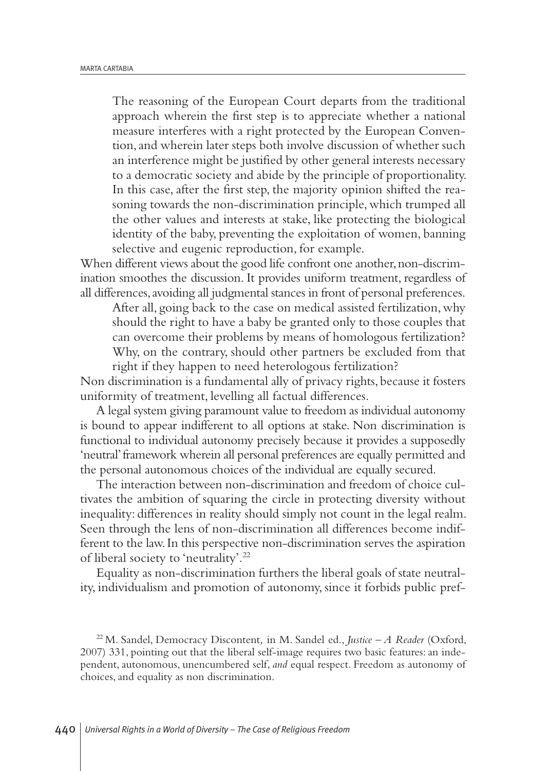The reasoning of the European Court departs from the traditional approach wherein the first step is to appreciate whether a national measure interferes with a right protected by the European Convention,and wherein later steps both involve discussion of whether such an interference might be justified by other general interests necessary to a democratic society and abide by the principle of proportionality. In this case, after the first step, the majority opinion shifted the reasoning towards the non-discrimination principle, which trumped all the other values and interests at stake, like protecting the biological identity of the baby, preventing the exploitation of women, banning selective and eugenic reproduction, for example.

When different views about the good life confront one another, non-discrimination smoothes the discussion. It provides uniform treatment, regardless of all differences,avoiding all judgmental stances in front of personal preferences.

After all, going back to the case on medical assisted fertilization,why should the right to have a baby be granted only to those couples that can overcome their problems by means of homologous fertilization? Why, on the contrary, should other partners be excluded from that right if they happen to need heterologous fertilization?

Non discrimination is a fundamental ally of privacy rights, because it fosters uniformity of treatment, levelling all factual differences.

A legal system giving paramount value to freedom as individual autonomy is bound to appear indifferent to all options at stake. Non discrimination is functional to individual autonomy precisely because it provides a supposedly 'neutral'framework wherein all personal preferences are equally permitted and the personal autonomous choices of the individual are equally secured.

The interaction between non-discrimination and freedom of choice cultivates the ambition of squaring the circle in protecting diversity without inequality: differences in reality should simply not count in the legal realm. Seen through the lens of non-discrimination all differences become indifferent to the law.In this perspective non-discrimination serves the aspiration of liberal society to 'neutrality'. 22

Equality as non-discrimination furthers the liberal goals of state neutrality, individualism and promotion of autonomy, since it forbids public pref-

<sup>22</sup> M. Sandel, Democracy Discontent*,* in M. Sandel ed., *Justice – A Reader* (Oxford, 2007) 331, pointing out that the liberal self-image requires two basic features:an independent, autonomous, unencumbered self, and equal respect. Freedom as autonomy of choices,and equality as non discrimination.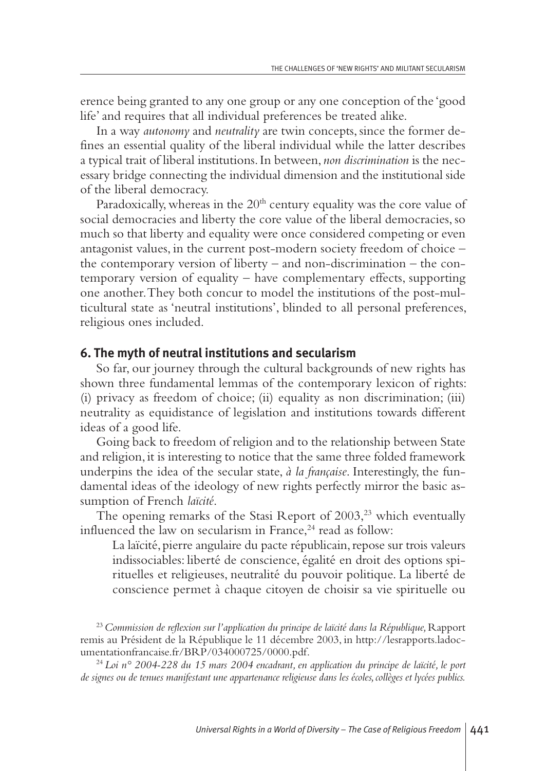erence being granted to any one group or any one conception of the 'good life'and requires that all individual preferences be treated alike.

In a way *autonomy* and *neutrality* are twin concepts, since the former defines an essential quality of the liberal individual while the latter describes a typical trait of liberal institutions.In between, *non discrimination* is the necessary bridge connecting the individual dimension and the institutional side of the liberal democracy.

Paradoxically, whereas in the  $20<sup>th</sup>$  century equality was the core value of social democracies and liberty the core value of the liberal democracies, so much so that liberty and equality were once considered competing or even antagonist values, in the current post-modern society freedom of choice – the contemporary version of liberty – and non-discrimination – the contemporary version of equality – have complementary effects, supporting one another.They both concur to model the institutions of the post-multicultural state as 'neutral institutions', blinded to all personal preferences, religious ones included.

#### **6. The myth of neutral institutions and secularism**

So far, our journey through the cultural backgrounds of new rights has shown three fundamental lemmas of the contemporary lexicon of rights: (i) privacy as freedom of choice; (ii) equality as non discrimination; (iii) neutrality as equidistance of legislation and institutions towards different ideas of a good life.

Going back to freedom of religion and to the relationship between State and religion, it is interesting to notice that the same three folded framework underpins the idea of the secular state, *à la française*. Interestingly, the fundamental ideas of the ideology of new rights perfectly mirror the basic assumption of French *laïcité*.

The opening remarks of the Stasi Report of 2003, <sup>23</sup> which eventually influenced the law on secularism in France, <sup>24</sup> read as follow:

La laïcité, pierre angulaire du pacte républicain, repose sur trois valeurs indissociables: liberté de conscience, égalité en droit des options spirituelles et religieuses, neutralité du pouvoir politique. La liberté de conscience permet à chaque citoyen de choisir sa vie spirituelle ou

<sup>23</sup>*Commission de reflexion sur l'application du principe de laïcité dans la République,*Rapport remis au Président de la République le 11 décembre 2003, in http://lesrapports.ladocumentationfrancaise.fr/BRP/034000725/0000.pdf.

<sup>24</sup> *Loi n° 2004-228 du 15 mars 2004 encadrant, en application du principe de laïcité, le port de signes ou de tenues manifestant une appartenance religieuse dans les écoles,collèges et lycées publics.*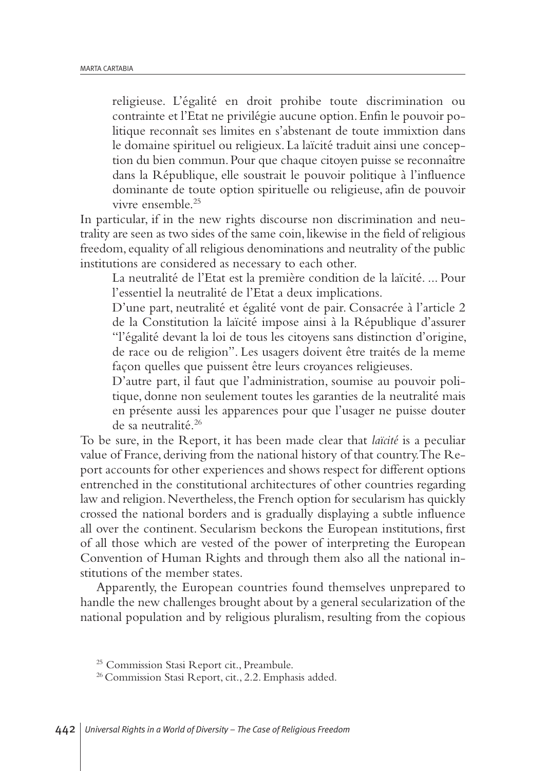religieuse. L'égalité en droit prohibe toute discrimination ou contrainte et l'Etat ne privilégie aucune option.Enfin le pouvoir politique reconnaît ses limites en s'abstenant de toute immixtion dans le domaine spirituel ou religieux. La laïcité traduit ainsi une conception du bien commun.Pour que chaque citoyen puisse se reconnaître dans la République, elle soustrait le pouvoir politique à l'influence dominante de toute option spirituelle ou religieuse, afin de pouvoir vivre ensemble. 25

In particular, if in the new rights discourse non discrimination and neutrality are seen as two sides of the same coin, likewise in the field of religious freedom, equality of all religious denominations and neutrality of the public institutions are considered as necessary to each other.

La neutralité de l'Etat est la première condition de la laïcité. ... Pour l'essentiel la neutralité de l'Etat a deux implications.

D'une part, neutralité et égalité vont de pair. Consacrée à l'article 2 de la Constitution la laïcité impose ainsi à la République d'assurer "l'égalité devant la loi de tous les citoyens sans distinction d'origine, de race ou de religion". Les usagers doivent être traités de la meme façon quelles que puissent être leurs croyances religieuses.

D'autre part, il faut que l'administration, soumise au pouvoir politique, donne non seulement toutes les garanties de la neutralité mais en présente aussi les apparences pour que l'usager ne puisse douter de sa neutralité. 26

To be sure, in the Report, it has been made clear that *laïcité* is a peculiar value of France, deriving from the national history of that country.The Report accounts for other experiences and shows respect for different options entrenched in the constitutional architectures of other countries regarding law and religion. Nevertheless, the French option for secularism has quickly crossed the national borders and is gradually displaying a subtle influence all over the continent. Secularism beckons the European institutions, first of all those which are vested of the power of interpreting the European Convention of Human Rights and through them also all the national institutions of the member states.

Apparently, the European countries found themselves unprepared to handle the new challenges brought about by a general secularization of the national population and by religious pluralism, resulting from the copious

<sup>25</sup> Commission Stasi Report cit., Preambule.

<sup>26</sup> Commission Stasi Report, cit., 2.2. Emphasis added.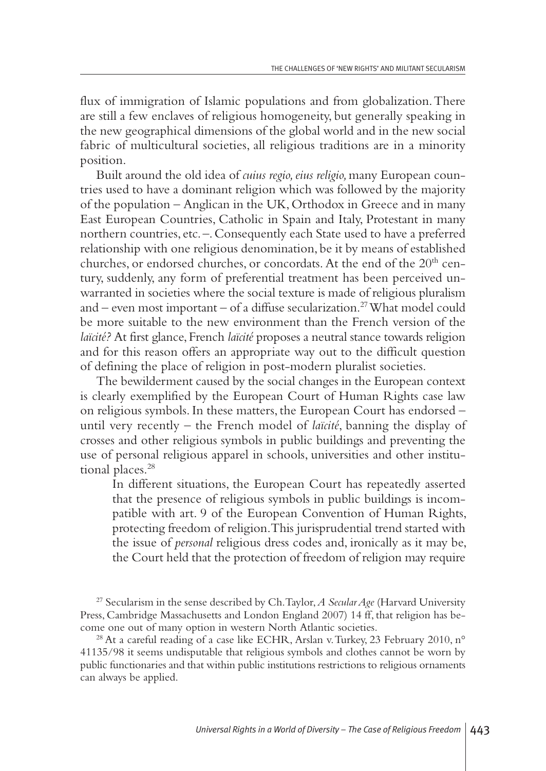flux of immigration of Islamic populations and from globalization. There are still a few enclaves of religious homogeneity, but generally speaking in the new geographical dimensions of the global world and in the new social fabric of multicultural societies, all religious traditions are in a minority position.

Built around the old idea of *cuius regio,eius religio,*many European countries used to have a dominant religion which was followed by the majority of the population – Anglican in the UK, Orthodox in Greece and in many East European Countries, Catholic in Spain and Italy, Protestant in many northern countries, etc. –.Consequently each State used to have a preferred relationship with one religious denomination, be it by means of established churches, or endorsed churches, or concordats. At the end of the 20<sup>th</sup> century, suddenly, any form of preferential treatment has been perceived unwarranted in societies where the social texture is made of religious pluralism and – even most important – of a diffuse secularization. 27What model could be more suitable to the new environment than the French version of the *laïcité?* At first glance, French *laïcité* proposes a neutral stance towards religion and for this reason offers an appropriate way out to the difficult question of defining the place of religion in post-modern pluralist societies.

The bewilderment caused by the social changes in the European context is clearly exemplified by the European Court of Human Rights case law on religious symbols.In these matters, the European Court has endorsed – until very recently – the French model of *laïcité*, banning the display of crosses and other religious symbols in public buildings and preventing the use of personal religious apparel in schools, universities and other institutional places. 28

In different situations, the European Court has repeatedly asserted that the presence of religious symbols in public buildings is incompatible with art. 9 of the European Convention of Human Rights, protecting freedom of religion.This jurisprudential trend started with the issue of *personal* religious dress codes and, ironically as it may be, the Court held that the protection of freedom of religion may require

<sup>27</sup> Secularism in the sense described by Ch.Taylor,*A SecularAge* (Harvard University Press, Cambridge Massachusetts and London England 2007) 14 ff, that religion has become one out of many option in western North Atlantic societies.

<sup>28</sup> At a careful reading of a case like ECHR, Arslan v. Turkey, 23 February 2010, n° 41135/98 it seems undisputable that religious symbols and clothes cannot be worn by public functionaries and that within public institutions restrictions to religious ornaments can always be applied.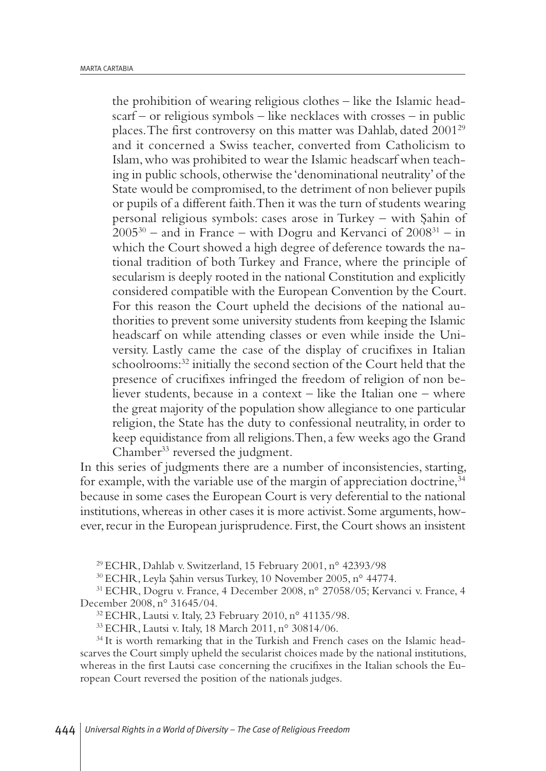the prohibition of wearing religious clothes – like the Islamic headscarf – or religious symbols – like necklaces with crosses – in public places.The first controversy on this matter was Dahlab, dated 200129 and it concerned a Swiss teacher, converted from Catholicism to Islam,who was prohibited to wear the Islamic headscarf when teaching in public schools, otherwise the 'denominational neutrality' of the State would be compromised, to the detriment of non believer pupils or pupils of a different faith.Then it was the turn of students wearing personal religious symbols: cases arose in Turkey – with Şahin of  $2005^{30}$  – and in France – with Dogru and Kervanci of  $2008^{31}$  – in which the Court showed a high degree of deference towards the national tradition of both Turkey and France, where the principle of secularism is deeply rooted in the national Constitution and explicitly considered compatible with the European Convention by the Court. For this reason the Court upheld the decisions of the national authorities to prevent some university students from keeping the Islamic headscarf on while attending classes or even while inside the University. Lastly came the case of the display of crucifixes in Italian schoolrooms: <sup>32</sup> initially the second section of the Court held that the presence of crucifixes infringed the freedom of religion of non believer students, because in a context – like the Italian one – where the great majority of the population show allegiance to one particular religion, the State has the duty to confessional neutrality, in order to keep equidistance from all religions. Then, a few weeks ago the Grand Chamber<sup>33</sup> reversed the judgment.

In this series of judgments there are a number of inconsistencies, starting, for example, with the variable use of the margin of appreciation doctrine,<sup>34</sup> because in some cases the European Court is very deferential to the national institutions, whereas in other cases it is more activist. Some arguments, however, recur in the European jurisprudence. First, the Court shows an insistent

<sup>29</sup> ECHR, Dahlab v. Switzerland, 15 February 2001, n° 42393/98

<sup>30</sup> ECHR, Leyla Şahin versus Turkey, 10 November 2005, n° 44774.

<sup>31</sup> ECHR, Dogru v. France, 4 December 2008, n° 27058/05; Kervanci v. France, 4 December 2008, n° 31645/04.

<sup>32</sup> ECHR, Lautsi v. Italy, 23 February 2010, n° 41135/98.

<sup>33</sup> ECHR, Lautsi v. Italy, 18 March 2011, n° 30814/06.

<sup>34</sup> It is worth remarking that in the Turkish and French cases on the Islamic headscarves the Court simply upheld the secularist choices made by the national institutions, whereas in the first Lautsi case concerning the crucifixes in the Italian schools the European Court reversed the position of the nationals judges.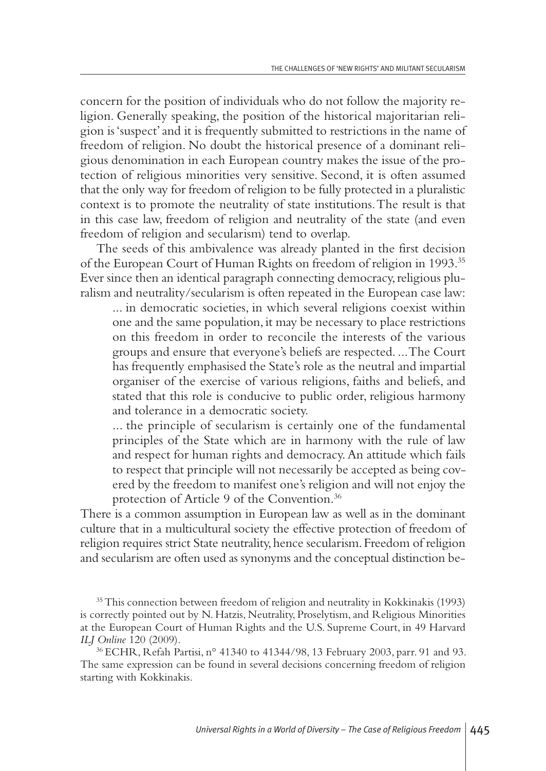concern for the position of individuals who do not follow the majority religion. Generally speaking, the position of the historical majoritarian religion is'suspect'and it is frequently submitted to restrictions in the name of freedom of religion. No doubt the historical presence of a dominant religious denomination in each European country makes the issue of the protection of religious minorities very sensitive. Second, it is often assumed that the only way for freedom of religion to be fully protected in a pluralistic context is to promote the neutrality of state institutions.The result is that in this case law, freedom of religion and neutrality of the state (and even freedom of religion and secularism) tend to overlap.

The seeds of this ambivalence was already planted in the first decision of the European Court of Human Rights on freedom of religion in 1993. 35 Ever since then an identical paragraph connecting democracy, religious pluralism and neutrality/secularism is often repeated in the European case law:

... in democratic societies, in which several religions coexist within one and the same population,it may be necessary to place restrictions on this freedom in order to reconcile the interests of the various groups and ensure that everyone's beliefs are respected. ...The Court has frequently emphasised the State's role as the neutral and impartial organiser of the exercise of various religions, faiths and beliefs, and stated that this role is conducive to public order, religious harmony and tolerance in a democratic society.

... the principle of secularism is certainly one of the fundamental principles of the State which are in harmony with the rule of law and respect for human rights and democracy.An attitude which fails to respect that principle will not necessarily be accepted as being covered by the freedom to manifest one's religion and will not enjoy the protection of Article 9 of the Convention. 36

There is a common assumption in European law as well as in the dominant culture that in a multicultural society the effective protection of freedom of religion requires strict State neutrality, hence secularism. Freedom of religion and secularism are often used as synonyms and the conceptual distinction be-

<sup>35</sup>This connection between freedom of religion and neutrality in Kokkinakis (1993) is correctly pointed out by N. Hatzis, Neutrality, Proselytism, and Religious Minorities at the European Court of Human Rights and the U.S. Supreme Court, in 49 Harvard *ILJ Online* 120 (2009).

<sup>36</sup> ECHR, Refah Partisi, n° 41340 to 41344/98, 13 February 2003, parr. 91 and 93. The same expression can be found in several decisions concerning freedom of religion starting with Kokkinakis.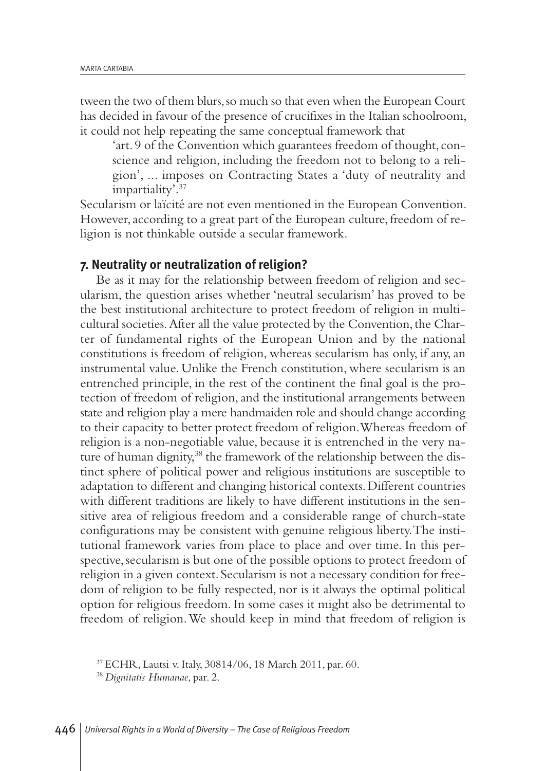tween the two of them blurs,so much so that even when the European Court has decided in favour of the presence of crucifixes in the Italian schoolroom, it could not help repeating the same conceptual framework that

'art. 9 of the Convention which guarantees freedom of thought, conscience and religion, including the freedom not to belong to a religion', ... imposes on Contracting States a 'duty of neutrality and impartiality'. 37

Secularism or laïcité are not even mentioned in the European Convention. However, according to a great part of the European culture, freedom of religion is not thinkable outside a secular framework.

### **7. Neutrality or neutralization of religion?**

Be as it may for the relationship between freedom of religion and secularism, the question arises whether 'neutral secularism' has proved to be the best institutional architecture to protect freedom of religion in multicultural societies.After all the value protected by the Convention,the Charter of fundamental rights of the European Union and by the national constitutions is freedom of religion, whereas secularism has only, if any,an instrumental value. Unlike the French constitution, where secularism is an entrenched principle, in the rest of the continent the final goal is the protection of freedom of religion,and the institutional arrangements between state and religion play a mere handmaiden role and should change according to their capacity to better protect freedom of religion.Whereas freedom of religion is a non-negotiable value, because it is entrenched in the very nature of human dignity, <sup>38</sup> the framework of the relationship between the distinct sphere of political power and religious institutions are susceptible to adaptation to different and changing historical contexts.Different countries with different traditions are likely to have different institutions in the sensitive area of religious freedom and a considerable range of church-state configurations may be consistent with genuine religious liberty.The institutional framework varies from place to place and over time. In this perspective, secularism is but one of the possible options to protect freedom of religion in a given context. Secularism is not a necessary condition for freedom of religion to be fully respected, nor is it always the optimal political option for religious freedom.In some cases it might also be detrimental to freedom of religion.We should keep in mind that freedom of religion is

<sup>37</sup> ECHR, Lautsi v. Italy, 30814/06, 18 March 2011, par. 60.

<sup>38</sup> *Dignitatis Humanae*, par. 2.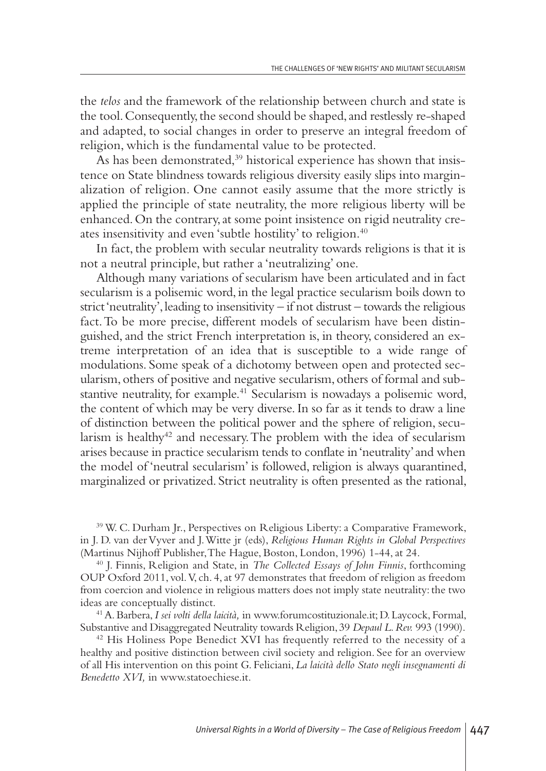the *telos* and the framework of the relationship between church and state is the tool. Consequently, the second should be shaped, and restlessly re-shaped and adapted, to social changes in order to preserve an integral freedom of religion, which is the fundamental value to be protected.

As has been demonstrated, <sup>39</sup> historical experience has shown that insistence on State blindness towards religious diversity easily slips into marginalization of religion. One cannot easily assume that the more strictly is applied the principle of state neutrality, the more religious liberty will be enhanced. On the contrary, at some point insistence on rigid neutrality creates insensitivity and even 'subtle hostility' to religion. 40

In fact, the problem with secular neutrality towards religions is that it is not a neutral principle, but rather a'neutralizing' one.

Although many variations of secularism have been articulated and in fact secularism is a polisemic word, in the legal practice secularism boils down to strict 'neutrality', leading to insensitivity  $-$  if not distrust  $-$  towards the religious fact.To be more precise, different models of secularism have been distinguished,and the strict French interpretation is, in theory, considered an extreme interpretation of an idea that is susceptible to a wide range of modulations. Some speak of a dichotomy between open and protected secularism, others of positive and negative secularism, others of formal and substantive neutrality, for example. <sup>41</sup> Secularism is nowadays a polisemic word, the content of which may be very diverse.In so far as it tends to draw a line of distinction between the political power and the sphere of religion, secularism is healthy<sup>42</sup> and necessary. The problem with the idea of secularism arises because in practice secularism tends to conflate in'neutrality'and when the model of 'neutral secularism' is followed, religion is always quarantined, marginalized or privatized. Strict neutrality is often presented as the rational,

<sup>39</sup> W. C. Durham Jr., Perspectives on Religious Liberty:a Comparative Framework, in J. D. van derVyver and J.Witte jr (eds), *Religious Human Rights in Global Perspectives* (Martinus Nijhoff Publisher, The Hague, Boston, London, 1996) 1-44, at 24.

<sup>40</sup> J. Finnis, Religion and State, in *The Collected Essays of John Finnis*, forthcoming OUP Oxford 2011, vol.V, ch. 4,at 97 demonstrates that freedom of religion as freedom from coercion and violence in religious matters does not imply state neutrality: the two ideas are conceptually distinct.

41A.Barbera,*I sei volti della laicità,* in www.forumcostituzionale.it;D. Laycock, Formal, Substantive and Disaggregated Neutrality towards Religion,39 *Depaul L.Rev.* 993 (1990).

<sup>42</sup> His Holiness Pope Benedict XVI has frequently referred to the necessity of a healthy and positive distinction between civil society and religion. See for an overview of all His intervention on this point G. Feliciani, *La laicità dello Stato negli insegnamenti di Benedetto XVI,* in www.statoechiese.it.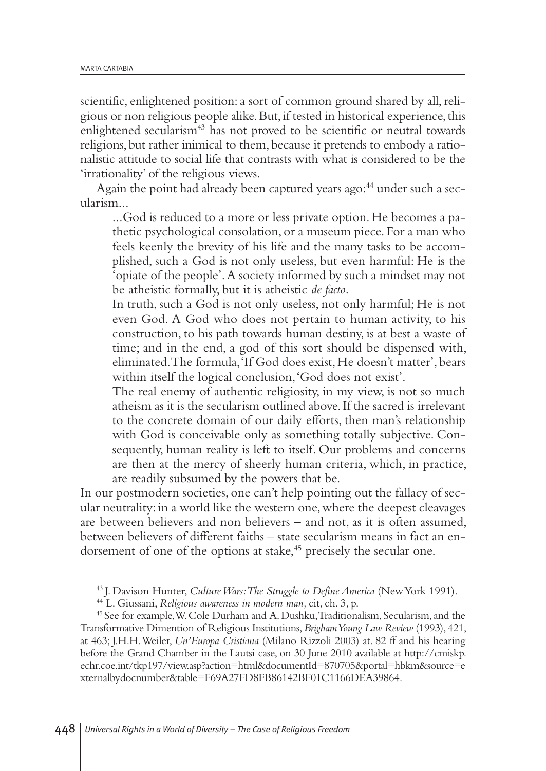scientific, enlightened position: a sort of common ground shared by all, religious or non religious people alike.But,if tested in historical experience,this enlightened secularism<sup>43</sup> has not proved to be scientific or neutral towards religions, but rather inimical to them, because it pretends to embody a rationalistic attitude to social life that contrasts with what is considered to be the 'irrationality' of the religious views.

Again the point had already been captured years ago: <sup>44</sup> under such a secularism...

...God is reduced to a more or less private option.He becomes a pathetic psychological consolation, or a museum piece. For a man who feels keenly the brevity of his life and the many tasks to be accomplished, such a God is not only useless, but even harmful: He is the 'opiate of the people'.A society informed by such a mindset may not be atheistic formally, but it is atheistic *de facto*.

In truth, such a God is not only useless, not only harmful; He is not even God. A God who does not pertain to human activity, to his construction, to his path towards human destiny, is at best a waste of time; and in the end, a god of this sort should be dispensed with, eliminated.The formula,'If God does exist,He doesn't matter', bears within itself the logical conclusion,'God does not exist'.

The real enemy of authentic religiosity, in my view, is not so much atheism as it is the secularism outlined above.If the sacred is irrelevant to the concrete domain of our daily efforts, then man's relationship with God is conceivable only as something totally subjective. Consequently, human reality is left to itself. Our problems and concerns are then at the mercy of sheerly human criteria, which, in practice, are readily subsumed by the powers that be.

In our postmodern societies, one can't help pointing out the fallacy of secular neutrality: in a world like the western one,where the deepest cleavages are between believers and non believers – and not, as it is often assumed, between believers of different faiths – state secularism means in fact an endorsement of one of the options at stake, <sup>45</sup> precisely the secular one.

<sup>43</sup> J. Davison Hunter, *CultureWars:The Struggle to Define America* (NewYork 1991).

<sup>44</sup> L. Giussani, *Religious awareness in modern man,* cit, ch. 3, p.

<sup>45</sup> See for example,W.Cole Durham and A.Dushku,Traditionalism, Secularism,and the Transformative Dimention of Religious Institutions,*BrighamYoung Law Review* (1993), 421, at 463; J.H.H.Weiler, *Un'Europa Cristiana* (Milano Rizzoli 2003) at. 82 ff and his hearing before the Grand Chamber in the Lautsi case, on 30 June 2010 available at http://cmiskp. echr.coe.int/tkp197/view.asp?action=html&documentId=870705&portal=hbkm&source=e xternalbydocnumber&table=F69A27FD8FB86142BF01C1166DEA39864.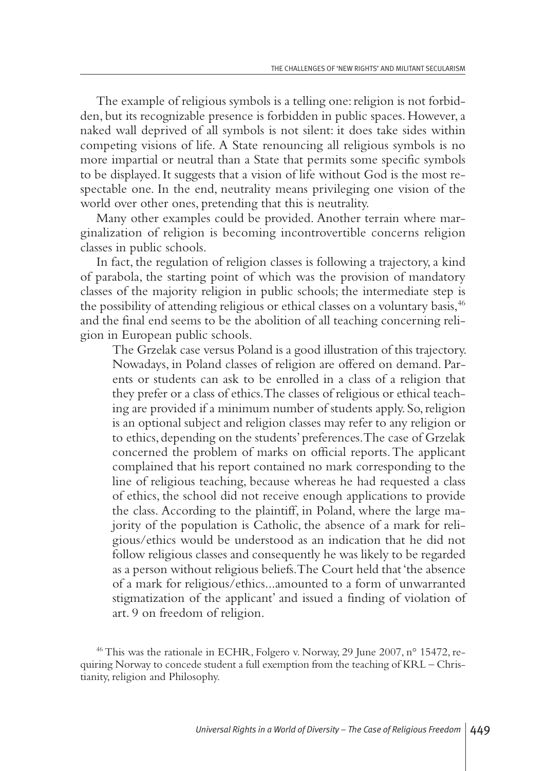The example of religious symbols is a telling one: religion is not forbidden, but its recognizable presence is forbidden in public spaces.However,a naked wall deprived of all symbols is not silent: it does take sides within competing visions of life. A State renouncing all religious symbols is no more impartial or neutral than a State that permits some specific symbols to be displayed.It suggests that a vision of life without God is the most respectable one. In the end, neutrality means privileging one vision of the world over other ones, pretending that this is neutrality.

Many other examples could be provided. Another terrain where marginalization of religion is becoming incontrovertible concerns religion classes in public schools.

In fact, the regulation of religion classes is following a trajectory, a kind of parabola, the starting point of which was the provision of mandatory classes of the majority religion in public schools; the intermediate step is the possibility of attending religious or ethical classes on a voluntary basis, 46 and the final end seems to be the abolition of all teaching concerning religion in European public schools.

The Grzelak case versus Poland is a good illustration of this trajectory. Nowadays, in Poland classes of religion are offered on demand. Parents or students can ask to be enrolled in a class of a religion that they prefer or a class of ethics.The classes of religious or ethical teaching are provided if a minimum number of students apply. So,religion is an optional subject and religion classes may refer to any religion or to ethics, depending on the students' preferences.The case of Grzelak concerned the problem of marks on official reports.The applicant complained that his report contained no mark corresponding to the line of religious teaching, because whereas he had requested a class of ethics, the school did not receive enough applications to provide the class. According to the plaintiff, in Poland, where the large majority of the population is Catholic, the absence of a mark for religious/ethics would be understood as an indication that he did not follow religious classes and consequently he was likely to be regarded as a person without religious beliefs.The Court held that'the absence of a mark for religious/ethics...amounted to a form of unwarranted stigmatization of the applicant' and issued a finding of violation of art. 9 on freedom of religion.

<sup>46</sup> This was the rationale in ECHR, Folgero v. Norway, 29 June 2007, n° 15472, requiring Norway to concede student a full exemption from the teaching of KRL – Christianity, religion and Philosophy.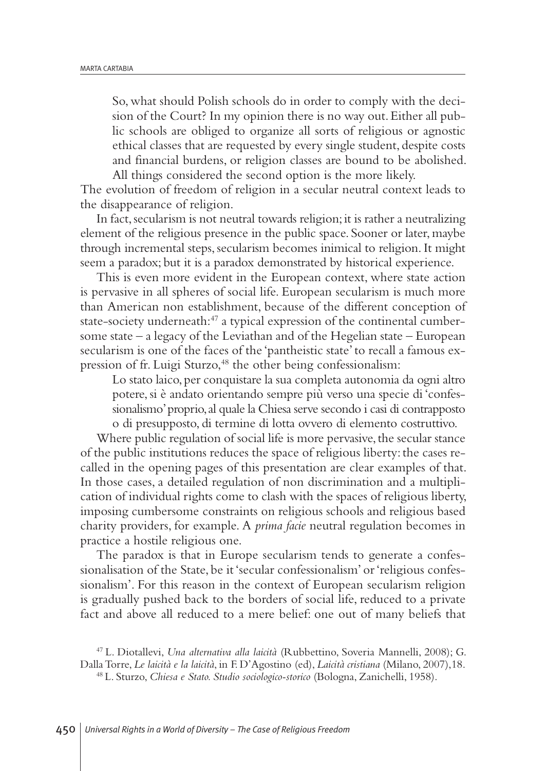So, what should Polish schools do in order to comply with the decision of the Court? In my opinion there is no way out.Either all public schools are obliged to organize all sorts of religious or agnostic ethical classes that are requested by every single student, despite costs and financial burdens, or religion classes are bound to be abolished. All things considered the second option is the more likely.

The evolution of freedom of religion in a secular neutral context leads to the disappearance of religion.

In fact, secularism is not neutral towards religion; it is rather a neutralizing element of the religious presence in the public space. Sooner or later, maybe through incremental steps, secularism becomes inimical to religion.It might seem a paradox; but it is a paradox demonstrated by historical experience.

This is even more evident in the European context, where state action is pervasive in all spheres of social life. European secularism is much more than American non establishment, because of the different conception of state-society underneath: <sup>47</sup> a typical expression of the continental cumbersome state  $-$  a legacy of the Leviathan and of the Hegelian state  $-$  European secularism is one of the faces of the 'pantheistic state'to recall a famous expression of fr. Luigi Sturzo, <sup>48</sup> the other being confessionalism:

Lo stato laico, per conquistare la sua completa autonomia da ogni altro potere, si è andato orientando sempre più verso una specie di 'confessionalismo' proprio, al quale la Chiesa serve secondo i casi di contrapposto o di presupposto, di termine di lotta ovvero di elemento costruttivo.

Where public regulation of social life is more pervasive, the secular stance of the public institutions reduces the space of religious liberty:the cases recalled in the opening pages of this presentation are clear examples of that. In those cases, a detailed regulation of non discrimination and a multiplication of individual rights come to clash with the spaces of religious liberty, imposing cumbersome constraints on religious schools and religious based charity providers, for example. A *prima facie* neutral regulation becomes in practice a hostile religious one.

The paradox is that in Europe secularism tends to generate a confessionalisation of the State, be it'secular confessionalism' or'religious confessionalism'. For this reason in the context of European secularism religion is gradually pushed back to the borders of social life, reduced to a private fact and above all reduced to a mere belief: one out of many beliefs that

<sup>47</sup> L. Diotallevi, *Una alternativa alla laicità* (Rubbettino, Soveria Mannelli, 2008); G. DallaTorre, *Le laicità e la laicità*, in F. D'Agostino (ed), *Laicità cristiana* (Milano, 2007),18.

<sup>48</sup> L. Sturzo, *Chiesa e Stato. Studio sociologico-storico* (Bologna, Zanichelli, 1958).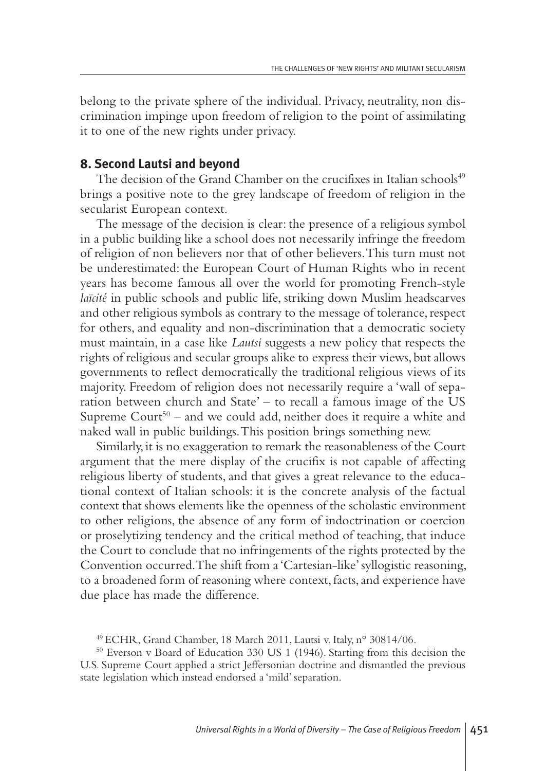belong to the private sphere of the individual. Privacy, neutrality, non discrimination impinge upon freedom of religion to the point of assimilating it to one of the new rights under privacy.

## **8. Second Lautsi and beyond**

The decision of the Grand Chamber on the crucifixes in Italian schools 49 brings a positive note to the grey landscape of freedom of religion in the secularist European context.

The message of the decision is clear: the presence of a religious symbol in a public building like a school does not necessarily infringe the freedom of religion of non believers nor that of other believers.This turn must not be underestimated: the European Court of Human Rights who in recent years has become famous all over the world for promoting French-style *laïcité* in public schools and public life, striking down Muslim headscarves and other religious symbols as contrary to the message of tolerance, respect for others, and equality and non-discrimination that a democratic society must maintain, in a case like *Lautsi* suggests a new policy that respects the rights of religious and secular groups alike to express their views, but allows governments to reflect democratically the traditional religious views of its majority. Freedom of religion does not necessarily require a 'wall of separation between church and State' – to recall a famous image of the US Supreme Court <sup>50</sup> – and we could add, neither does it require a white and naked wall in public buildings.This position brings something new.

Similarly, it is no exaggeration to remark the reasonableness of the Court argument that the mere display of the crucifix is not capable of affecting religious liberty of students, and that gives a great relevance to the educational context of Italian schools: it is the concrete analysis of the factual context that shows elements like the openness of the scholastic environment to other religions, the absence of any form of indoctrination or coercion or proselytizing tendency and the critical method of teaching, that induce the Court to conclude that no infringements of the rights protected by the Convention occurred.The shift from a'Cartesian-like'syllogistic reasoning, to a broadened form of reasoning where context, facts, and experience have due place has made the difference.

<sup>49</sup> ECHR, Grand Chamber, 18 March 2011, Lautsi v. Italy, n° 30814/06.

<sup>50</sup> Everson v Board of Education 330 US 1 (1946). Starting from this decision the U.S. Supreme Court applied a strict Jeffersonian doctrine and dismantled the previous state legislation which instead endorsed a'mild' separation.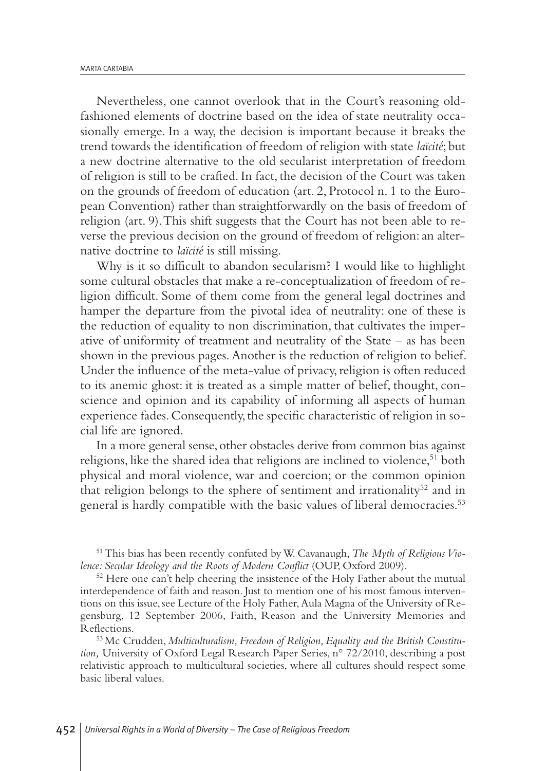Nevertheless, one cannot overlook that in the Court's reasoning oldfashioned elements of doctrine based on the idea of state neutrality occasionally emerge. In a way, the decision is important because it breaks the trend towards the identification of freedom of religion with state *laïcité*; but a new doctrine alternative to the old secularist interpretation of freedom of religion is still to be crafted.In fact, the decision of the Court was taken on the grounds of freedom of education (art. 2, Protocol n. 1 to the European Convention) rather than straightforwardly on the basis of freedom of religion (art. 9).This shift suggests that the Court has not been able to reverse the previous decision on the ground of freedom of religion:an alternative doctrine to *laïcité* is still missing.

Why is it so difficult to abandon secularism? I would like to highlight some cultural obstacles that make a re-conceptualization of freedom of religion difficult. Some of them come from the general legal doctrines and hamper the departure from the pivotal idea of neutrality: one of these is the reduction of equality to non discrimination, that cultivates the imperative of uniformity of treatment and neutrality of the State – as has been shown in the previous pages.Another is the reduction of religion to belief. Under the influence of the meta-value of privacy, religion is often reduced to its anemic ghost: it is treated as a simple matter of belief, thought, conscience and opinion and its capability of informing all aspects of human experience fades. Consequently, the specific characteristic of religion in social life are ignored.

In a more general sense, other obstacles derive from common bias against religions, like the shared idea that religions are inclined to violence, <sup>51</sup> both physical and moral violence, war and coercion; or the common opinion that religion belongs to the sphere of sentiment and irrationality<sup>52</sup> and in general is hardly compatible with the basic values of liberal democracies. 53

51This bias has been recently confuted byW. Cavanaugh, *The Myth of ReligiousViolence: Secular Ideology and the Roots of Modern Conflict* (OUP, Oxford 2009).

 $52$  Here one can't help cheering the insistence of the Holy Father about the mutual interdependence of faith and reason. Just to mention one of his most famous interventions on this issue, see Lecture of the Holy Father, Aula Magna of the University of Regensburg, 12 September 2006, Faith, Reason and the University Memories and Reflections.

<sup>53</sup> Mc Crudden, *Multiculturalism, Freedom of Religion, Equality and the British Constitution,* University of Oxford Legal Research Paper Series, n° 72/2010, describing a post relativistic approach to multicultural societies, where all cultures should respect some basic liberal values.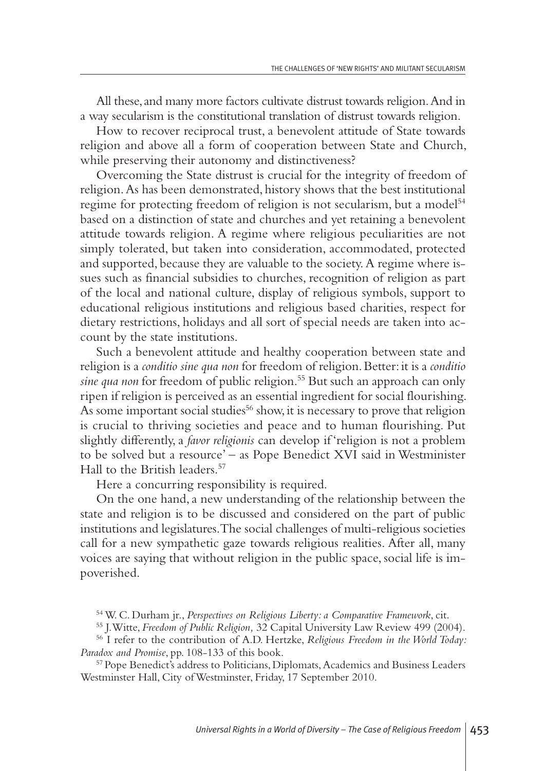All these,and many more factors cultivate distrust towards religion.And in a way secularism is the constitutional translation of distrust towards religion.

How to recover reciprocal trust, a benevolent attitude of State towards religion and above all a form of cooperation between State and Church, while preserving their autonomy and distinctiveness?

Overcoming the State distrust is crucial for the integrity of freedom of religion.As has been demonstrated, history shows that the best institutional regime for protecting freedom of religion is not secularism, but a model 54 based on a distinction of state and churches and yet retaining a benevolent attitude towards religion. A regime where religious peculiarities are not simply tolerated, but taken into consideration, accommodated, protected and supported, because they are valuable to the society.A regime where issues such as financial subsidies to churches, recognition of religion as part of the local and national culture, display of religious symbols, support to educational religious institutions and religious based charities, respect for dietary restrictions, holidays and all sort of special needs are taken into account by the state institutions.

Such a benevolent attitude and healthy cooperation between state and religion is a *conditio sine qua non* for freedom of religion.Better:it is a *conditio sine qua non* for freedom of public religion. <sup>55</sup> But such an approach can only ripen if religion is perceived as an essential ingredient for social flourishing. As some important social studies <sup>56</sup> show,it is necessary to prove that religion is crucial to thriving societies and peace and to human flourishing. Put slightly differently,a *favor religionis* can develop if 'religion is not a problem to be solved but a resource' – as Pope Benedict XVI said in Westminister Hall to the British leaders. 57

Here a concurring responsibility is required.

On the one hand,a new understanding of the relationship between the state and religion is to be discussed and considered on the part of public institutions and legislatures.The social challenges of multi-religious societies call for a new sympathetic gaze towards religious realities. After all, many voices are saying that without religion in the public space, social life is impoverished.

<sup>57</sup> Pope Benedict's address to Politicians,Diplomats,Academics and Business Leaders Westminster Hall, City ofWestminster, Friday, 17 September 2010.

<sup>54</sup>W. C. Durham jr., *Perspectives on Religious Liberty: a Comparative Framework*, cit.

<sup>55</sup> J.Witte, *Freedom of Public Religion,* 32 Capital University Law Review 499 (2004).

<sup>56</sup> I refer to the contribution of A.D. Hertzke, *Religious Freedom in the World Today: Paradox and Promise*, pp. 108-133 of this book.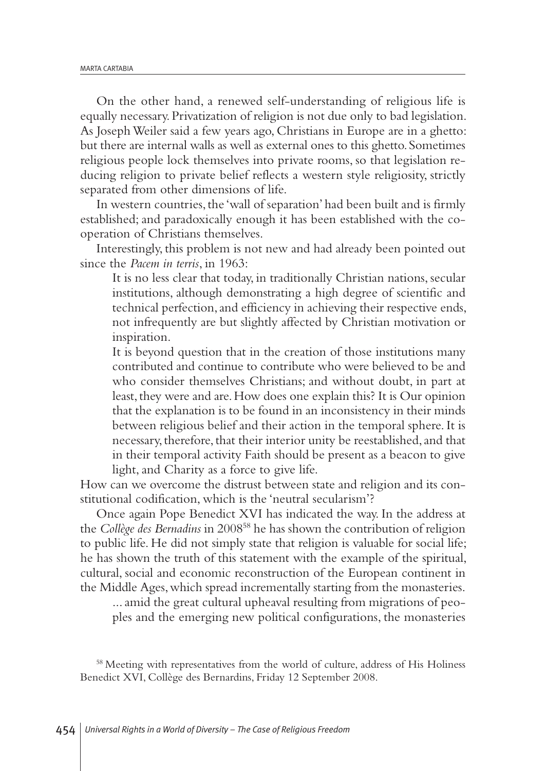On the other hand, a renewed self-understanding of religious life is equally necessary.Privatization of religion is not due only to bad legislation. As JosephWeiler said a few years ago, Christians in Europe are in a ghetto: but there are internal walls as well as external ones to this ghetto. Sometimes religious people lock themselves into private rooms, so that legislation reducing religion to private belief reflects a western style religiosity, strictly separated from other dimensions of life.

In western countries, the 'wall of separation' had been built and is firmly established; and paradoxically enough it has been established with the cooperation of Christians themselves.

Interestingly, this problem is not new and had already been pointed out since the *Pacem in terris*, in 1963:

It is no less clear that today, in traditionally Christian nations, secular institutions, although demonstrating a high degree of scientific and technical perfection,and efficiency in achieving their respective ends, not infrequently are but slightly affected by Christian motivation or inspiration.

It is beyond question that in the creation of those institutions many contributed and continue to contribute who were believed to be and who consider themselves Christians; and without doubt, in part at least, they were and are. How does one explain this? It is Our opinion that the explanation is to be found in an inconsistency in their minds between religious belief and their action in the temporal sphere.It is necessary, therefore, that their interior unity be reestablished, and that in their temporal activity Faith should be present as a beacon to give light, and Charity as a force to give life.

How can we overcome the distrust between state and religion and its constitutional codification, which is the 'neutral secularism'?

Once again Pope Benedict XVI has indicated the way. In the address at the *Collège des Bernadins* in 200858 he has shown the contribution of religion to public life. He did not simply state that religion is valuable for social life; he has shown the truth of this statement with the example of the spiritual, cultural, social and economic reconstruction of the European continent in the Middle Ages, which spread incrementally starting from the monasteries.

...amid the great cultural upheaval resulting from migrations of peoples and the emerging new political configurations, the monasteries

<sup>58</sup> Meeting with representatives from the world of culture, address of His Holiness Benedict XVI, Collège des Bernardins, Friday 12 September 2008.